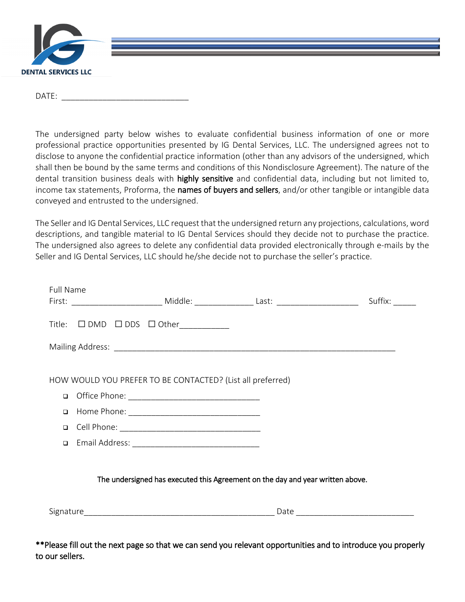

 $DATE:$ 

The undersigned party below wishes to evaluate confidential business information of one or more professional practice opportunities presented by IG Dental Services, LLC. The undersigned agrees not to disclose to anyone the confidential practice information (other than any advisors of the undersigned, which shall then be bound by the same terms and conditions of this Nondisclosure Agreement). The nature of the dental transition business deals with highly sensitive and confidential data, including but not limited to, income tax statements, Proforma, the names of buyers and sellers, and/or other tangible or intangible data conveyed and entrusted to the undersigned.

The Seller and IG Dental Services, LLC request that the undersigned return any projections, calculations, word descriptions, and tangible material to IG Dental Services should they decide not to purchase the practice. The undersigned also agrees to delete any confidential data provided electronically through e-mails by the Seller and IG Dental Services, LLC should he/she decide not to purchase the seller's practice.

| Full Name |                                                                                |  |
|-----------|--------------------------------------------------------------------------------|--|
|           | Title: $\square$ DMD $\square$ DDS $\square$ Other___________                  |  |
|           |                                                                                |  |
|           | HOW WOULD YOU PREFER TO BE CONTACTED? (List all preferred)                     |  |
| $\Box$    |                                                                                |  |
| $\Box$    |                                                                                |  |
| $\Box$    |                                                                                |  |
| $\Box$    |                                                                                |  |
|           |                                                                                |  |
|           | The undersigned has executed this Agreement on the day and year written above. |  |
|           |                                                                                |  |

\*\*Please fill out the next page so that we can send you relevant opportunities and to introduce you properly to our sellers.